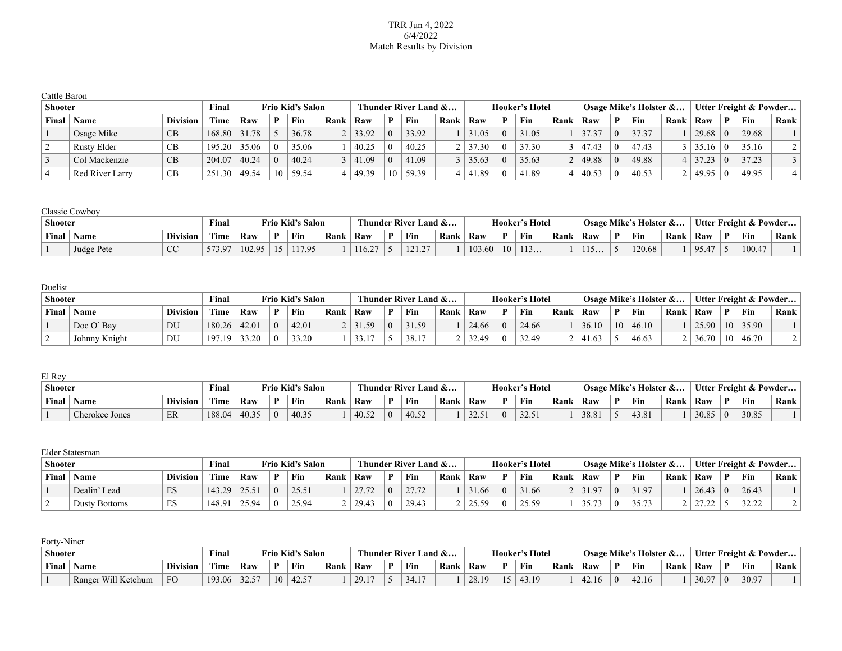## TRR Jun 4, 2022 6/4/2022 Match Results by Division

| Cattle Baron   |                    |                 |                     |       |    |                         |      |                |    |                      |      |       |                  |                       |      |       |           |                        |      |       |          |                        |                |
|----------------|--------------------|-----------------|---------------------|-------|----|-------------------------|------|----------------|----|----------------------|------|-------|------------------|-----------------------|------|-------|-----------|------------------------|------|-------|----------|------------------------|----------------|
| <b>Shooter</b> |                    |                 | Final               |       |    | <b>Frio Kid's Salon</b> |      |                |    | Thunder River Land & |      |       |                  | <b>Hooker's Hotel</b> |      |       |           | Osage Mike's Holster & |      |       |          | Utter Freight & Powder |                |
| $Final \mid$   | <b>Name</b>        | <b>Division</b> | Time                | Raw   | D  | Fin                     | Rank | Raw            |    | Fin                  | Rank | Raw   | D                | Fin                   | Rank | Raw   |           | <b>Fin</b>             | Rank | Raw   | P        | Fin                    | Rank           |
|                | Osage Mike         | CB              | $168.80$ 31.78      |       |    | 36.78                   |      | $2 \mid 33.92$ |    | 33.92                |      | 31.05 | $\left  \right $ | 31.05                 |      | 37.37 | $\Omega$  | 37.37                  |      | 29.68 | $\Omega$ | 29.68                  |                |
|                | <b>Rusty Elder</b> | CB              | $195.20$   35.06    |       |    | 35.06                   |      | 40.25          |    | 40.25                |      | 37.30 |                  | 37.30                 |      | 47.43 | -0        | 47.43                  |      | 35.16 | $\Omega$ | 35.16                  | 2 <sup>1</sup> |
|                | Col Mackenzie      | CB              | 204.07              | 40.24 |    | 40.24                   |      | 41.09          |    | 41.09                |      | 35.63 |                  | 35.63                 |      | 49.88 | $\perp$ 0 | 49.88                  |      | 37.23 |          | 37.23                  |                |
|                | Red River Larry    | CB              | $251.30 \mid 49.54$ |       | 10 | 59.54                   |      | 49.39          | 10 | 59.39                |      | 11.89 |                  | 41.89                 |      | 40.53 | 0         | 40.53                  |      | 49.95 | - ()     | 49.95                  |                |

Classic Cowboy

| <b>Shooter</b> |                             |                 | <b>Final</b> |        |   | <sup>W</sup> rio Kid's Salon |      | man a<br>`hunder | $\mathbf{r}$ | River Land & |      |        |          | <b>Hooker's Hotel</b> |      | Osage Mike' |              | 's Holster $\&\ldots$ |      | <b>Utter</b>         |   | r Freight & Powder |      |
|----------------|-----------------------------|-----------------|--------------|--------|---|------------------------------|------|------------------|--------------|--------------|------|--------|----------|-----------------------|------|-------------|--------------|-----------------------|------|----------------------|---|--------------------|------|
| <b>Final</b>   | $\mathbf{r}$<br><b>Name</b> | <b>Division</b> | Time         | Raw    | D | Fin                          | Rank | Raw              | D            | Fin          | Rank | Raw    |          | Fin                   | Rank | Raw         | $\mathbf{r}$ | Fin                   | Rank | Raw                  | D | Fin                | Rank |
|                | Judge Pete                  |                 | 573.97       | 102.95 |   | 11795                        |      | .16.27           |              | 10107        |      | 103.60 | $\alpha$ | 113<br>. . <i>. .</i> |      | 115<br>.    |              | 120.68                |      | $\overline{A}$<br>05 |   | 100.4              |      |

Duelist

|       | Shooter       |                 |        |       |   | <b>Frio Kid's Salon</b> |      |       |          | Thunder River Land $\&\ldots$ |      |       | Hooker's Hotel |      |       |    | Osage Mike's Holster & |      |       |    | Utter Freight & Powder |      |
|-------|---------------|-----------------|--------|-------|---|-------------------------|------|-------|----------|-------------------------------|------|-------|----------------|------|-------|----|------------------------|------|-------|----|------------------------|------|
| Final | Name          | <b>Division</b> | Time   | Raw   | D | Fin                     | Rank | Raw   | D        | Fin                           | Rank | Raw   | Fin            | Rank | Raw   | D  | Fin                    | Rank | Raw   |    | Fin                    | Rank |
|       | Doc $O'$ Bay  | DU              | 180.26 | 42.01 |   | 42.01                   |      | 31.59 | $\Omega$ | 31.59                         |      | 24.66 | 24.66          |      | 36.10 | 10 | 46.10                  |      | 25.90 | 10 | 35.90                  |      |
|       | Johnny Knight | DU              | 19719  | 33.20 |   | 33.20                   |      |       |          | 38.17                         |      | 32.49 | 32.49          |      | 41.63 |    | 46.63                  |      | 36.70 | 10 | 46.70                  |      |

El Rey

| <b>Shooter</b> |                |                   | Final  |                         |          | Frio Kid's Salon |  | <b>Thunder River</b> |   |       | Land $\&\ldots$ |              |          | Hooker's Hotel |      | <b>Osage Mike's</b> |   | 's Holster &                     |      |       |          | Utter Freight & Powder |      |
|----------------|----------------|-------------------|--------|-------------------------|----------|------------------|--|----------------------|---|-------|-----------------|--------------|----------|----------------|------|---------------------|---|----------------------------------|------|-------|----------|------------------------|------|
| Final          | Name           | <b>Division</b>   | Time   | Rank<br>Fin<br>Raw<br>D |          |                  |  | Raw                  | D | Fin   | Rank            | Raw          |          | Fin            | Rank | Raw                 | D | Fin                              | Rank | Raw   |          | Fin                    | Rank |
|                | Cherokee Jones | T T<br><b>LIL</b> | 188.04 | 40.35                   | $\theta$ | 40.35            |  | 40.52                |   | 40.52 |                 | $22 - 7$<br> | $\theta$ | 3251<br>ن. 2 ت |      | 38.81               |   | $\Lambda$ $\Omega$<br>43<br>15.O |      | 30.85 | $\Omega$ | 30.85                  |      |

Elder Statesman

|       | <b>Shooter</b> |            |        |       |          | <b>Frio Kid's Salon</b> |      |       |   | Thunder River Land & |      |       |          | <b>Hooker's Hotel</b> |      |       |          | Osage Mike's Holster & |      |            | Utter Freight & Powder |      |
|-------|----------------|------------|--------|-------|----------|-------------------------|------|-------|---|----------------------|------|-------|----------|-----------------------|------|-------|----------|------------------------|------|------------|------------------------|------|
| Final | Name           | Division   | Time   | Raw   | D        | Fin                     | Rank | Raw   | D | Fin                  | Rank | Raw   | D        | Fin                   | Rank | Raw   | D        | Fin                    | Rank | Raw        | Fin                    | Rank |
|       | Dealin' Lead   | <b>LAN</b> | 143.29 | 25.51 | $\Omega$ | 25.51                   |      | 2772  |   | 27.72<br>21.12       |      | 31.66 | $\theta$ | 31.66                 |      | 31.97 | $\Omega$ | 31.97                  |      | 26.43      | 26.43                  |      |
|       | Dusty Bottoms  | ناسلا      | .48.91 | 25.94 | $\Omega$ | 25.94                   |      | 29.43 |   | 29.43                |      | 25.59 | $\Omega$ | 25.59                 |      | 35.73 | $\Omega$ | 35.71                  |      | 27.22<br>. | 22.22<br>32.22         |      |

| Forty-Niner    |                     |                 |             |          |                 |                         |      |       |              |                                 |      |       |    |                       |      |       |   |                        |      |       |              |                        |      |
|----------------|---------------------|-----------------|-------------|----------|-----------------|-------------------------|------|-------|--------------|---------------------------------|------|-------|----|-----------------------|------|-------|---|------------------------|------|-------|--------------|------------------------|------|
| <b>Shooter</b> |                     |                 | Final       |          |                 | <b>Frio Kid's Salon</b> |      |       |              | <b>Thunder River Land &amp;</b> |      |       |    | <b>Hooker's Hotel</b> |      |       |   | Osage Mike's Holster & |      |       |              | Utter Freight & Powder |      |
| Final          | <b>Name</b>         | <b>Division</b> | <b>Time</b> | Raw      | D               | Fin                     | Rank | Raw   | $\mathbf{D}$ | Fin                             | Rank | Raw   | D  | Fin                   | Rank | Raw   | D | Fin                    | Rank | Raw   | $\mathbf{D}$ | Fin                    | Rank |
|                | Ranger Will Ketchum | <b>FO</b>       | 193.06      | $-32.57$ | 10 <sup>1</sup> | (42.57)                 |      | 29.17 |              | 34.17                           |      | 28.19 | 15 | 43.19                 |      | 42.16 |   | 42.16                  |      | 30.97 | $\theta$     | 30.97                  |      |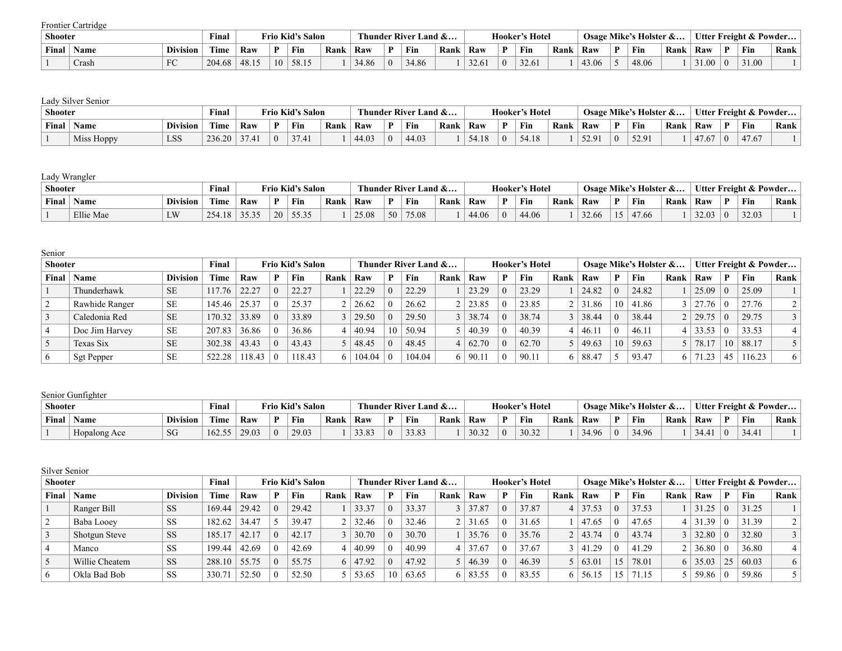Frontier Cartridge

| <b>Shooter</b>                                      |       |     | <b>Final</b> |       |    | Frio Kid's Salon |      | <b>Thunder River L</b> |   |       | Land $\&\ldots$ |                 | Hooker'      | <b>∴</b> s Hotel |      | <b>Osage Mike's</b> |   | : Holster & |      |       |   | Utter Freight $\&$ Powder |      |
|-----------------------------------------------------|-------|-----|--------------|-------|----|------------------|------|------------------------|---|-------|-----------------|-----------------|--------------|------------------|------|---------------------|---|-------------|------|-------|---|---------------------------|------|
| Final<br><b>Division</b><br>1. T. T.<br><b>Name</b> |       |     | <b>Time</b>  | Raw   | D. | Fin              | Rank | Raw                    | D | Fin   | Rank            | Raw             | $\mathbf{D}$ | Fin              | Rank | Raw                 | D | Fin         | Rank | Raw   | D | Fin                       | Rank |
|                                                     | Crash | EC. | 204.68       | 48.15 | 10 | 58.15            |      | 34.86                  |   | 34.86 |                 | 22 <sup>0</sup> | $\Omega$     | 32.61            |      | 43.06               |   | 48.06       |      | 31.00 |   | 31.00                     |      |

Lady Silver Senior

| <b>Shooter</b> |                         |     | Final  |        |          | <b>Frio Kid's Salon</b> |      |       |              | Thunder River Land & |      |                      |          | <b>Hooker's Hotel</b> |      |       |          | Osage Mike's Holster & |      |       |          | Utter Freight & Powder |      |
|----------------|-------------------------|-----|--------|--------|----------|-------------------------|------|-------|--------------|----------------------|------|----------------------|----------|-----------------------|------|-------|----------|------------------------|------|-------|----------|------------------------|------|
| Final          | <b>Division</b><br>Name |     | Time   | Raw    | D        | Fin                     | Rank | Raw   | $\mathbf{D}$ | Fin                  | Rank | Raw                  |          | Fin                   | Rank | Raw   | D        | Fin                    | Rank | Raw   | D        | Fin                    | Rank |
|                | Miss Hoppy              | LSS | 236.20 | $\sim$ | $\Omega$ |                         |      | 44.03 | $\Omega$     | 44.03                |      | 54 18<br>$\ldots$ 10 | $\Omega$ | 54.18                 |      | 52.91 | $\Omega$ | 52.91                  |      | 47.67 | $\Omega$ | 47.67                  |      |

## Lady Wrangler

| <b>Shooter</b> |                                      |                    | Final        |       |      | <sup>फ</sup> rio Kid's Salon |   | Thunde. | er River | $\mathbb{T}^n$ Land $\&\ldots$ |   |       |          | <b>Hooker's Hotel</b> |   | Osage | : Mike' | Holster & |    | Utter Freight & |      |       | $\degree$ Powder |
|----------------|--------------------------------------|--------------------|--------------|-------|------|------------------------------|---|---------|----------|--------------------------------|---|-------|----------|-----------------------|---|-------|---------|-----------|----|-----------------|------|-------|------------------|
| <b>Final</b>   | Time<br>Raw<br>Division<br>D<br>Name |                    |              | Fin   | Rank | Raw                          | D | Fin     | Rank     | Raw                            | D | Fin   | Rank     | Raw                   | D | Fin   | Rank    | Raw       | D. | Fin             | Rank |       |                  |
|                | Ellie Mae                            | <b>T W</b><br>$-1$ | 254<br>$+18$ | 35.35 | 20   | 55.35<br>JJ.JJ               |   | 25.08   | 50       | 75.08                          |   | 44.06 | $\theta$ | 44.06                 |   | 22.2  |         | , 00      |    | 32.03           |      | 32.03 |                  |

| Senior         |                   |                 |        |        |          |                         |      |                |    |                      |      |                |          |                       |      |                |          |                        |      |       |        |                        |                |
|----------------|-------------------|-----------------|--------|--------|----------|-------------------------|------|----------------|----|----------------------|------|----------------|----------|-----------------------|------|----------------|----------|------------------------|------|-------|--------|------------------------|----------------|
| <b>Shooter</b> |                   |                 | Final  |        |          | <b>Frio Kid's Salon</b> |      |                |    | Thunder River Land & |      |                |          | <b>Hooker's Hotel</b> |      |                |          | Osage Mike's Holster & |      |       |        | Utter Freight & Powder |                |
| Final          | $\mid$ Name       | <b>Division</b> | Time   | Raw    | P        | Fin                     | Rank | Raw            |    | Fin                  | Rank | Raw            | P        | Fin                   | Rank | Raw            | P        | Fin                    | Rank | Raw   | P      | Fin                    | Rank           |
|                | Thunderhawk       | <b>SE</b>       | 117.76 | 22.27  | $\theta$ | 22.27                   |      | 22.29          |    | 22.29                |      | 23.29          | $\theta$ | 23.29                 |      | 24.82          | $\theta$ | 24.82                  |      | 25.09 |        | 25.09                  |                |
|                | Rawhide Ranger    | <b>SE</b>       | 145.46 | 25.37  |          | 25.37                   |      | 26.62          |    | 26.62                |      | $2 \mid 23.85$ | $\theta$ | 23.85                 |      | $2 \mid 31.86$ | 10       | 41.86                  |      | 27.76 |        | 27.76                  | 2 <sup>1</sup> |
|                | Caledonia Red     | <b>SE</b>       | 170.32 | 33.89  | $\theta$ | 33.89                   |      | $3 \mid 29.50$ |    | 29.50                |      | $3 \mid 38.74$ | $\theta$ | 38.74                 |      | $3 \mid 38.44$ | $\theta$ | 38.44                  | 2    | 29.75 | $\cap$ | 29.75                  | $\overline{3}$ |
|                | Doc Jim Harvey    | <b>SE</b>       | 207.83 | 36.86  |          | 36.86                   |      | 40.94          | 10 | 50.94                |      | $5 \mid 40.39$ | $\theta$ | 40.39                 |      | 46.11          | $\theta$ | 46.11                  |      | 33.53 | - 0    | 33.53                  |                |
|                | Texas Six         | <b>SE</b>       | 302.38 | 43.43  | $\Omega$ | 43.43                   |      | 48.45          |    | 48.45                |      | 4   62.70      | $\theta$ | 62.70                 |      | $5 \mid 49.63$ | 10       | 159.63                 |      | 78.17 | 10     | 88.17                  |                |
| $\mathbf b$    | <b>Sgt Pepper</b> | <b>SE</b>       | 522.28 | 118.43 | $\left($ | 118.43                  |      | 104.04         |    | 104.04               |      | 6   90.11      | $\theta$ | 90.11                 |      | 88.47          |          | 93.47                  |      | 71.23 |        | 116.23                 | 6              |

## Senior Gunfighter

|              | Shooter      |                                                                   |      |       |  | Frio Kid's Salon |      | <b>CONTRACT</b><br>"hunder River". | $\mathbf{r}$ |     | ∙ Land &… |       |   | <b>Hooker's Hotel</b> |      | Osage          | Mike'    | : Holster $\&\ldots$ |      | Utter. |              | ∙ Freight & | <sup>2</sup> Powder |
|--------------|--------------|-------------------------------------------------------------------|------|-------|--|------------------|------|------------------------------------|--------------|-----|-----------|-------|---|-----------------------|------|----------------|----------|----------------------|------|--------|--------------|-------------|---------------------|
| <b>Final</b> | <b>Name</b>  | <b>Final</b><br><b>Time</b><br>Fin<br>D<br><b>Division</b><br>Raw |      |       |  |                  | Rank | Raw                                | D            | Fin | Rank      | Raw   | D | Fin                   | Rank | Raw            | D        | Fin                  | Rank | Raw    | $\mathbf{D}$ | Fin         | Rank                |
|              | Hopalong Ace | SG                                                                | 162. | 29.03 |  | 29.03            |      | 220                                |              | 220 |           | 20.22 |   | 30.32                 |      | $\sim$<br>1.90 | $\Omega$ | 34.96                |      | 34 A   |              | 34.41       |                     |

| Silver Senior  |                |                 |        |       |          |                  |      |       |          |                      |                |                |          |                |      |                |                 |                        |      |       |   |                        |                |
|----------------|----------------|-----------------|--------|-------|----------|------------------|------|-------|----------|----------------------|----------------|----------------|----------|----------------|------|----------------|-----------------|------------------------|------|-------|---|------------------------|----------------|
| <b>Shooter</b> |                |                 | Final  |       |          | Frio Kid's Salon |      |       |          | Thunder River Land & |                |                |          | Hooker's Hotel |      |                |                 | Osage Mike's Holster & |      |       |   | Utter Freight & Powder |                |
| Final          | Name           | <b>Division</b> | Time   | Raw   | P        | Fin              | Rank | Raw   | P        | Fin                  | Rank           | Raw            |          | <b>Fin</b>     | Rank | Raw            |                 | <b>Fin</b>             | Rank | Raw   | P | Fin                    | Rank           |
|                | Ranger Bill    | <b>SS</b>       | 169.44 | 29.42 | $\Omega$ | 29.42            |      | 33.37 | $\theta$ | 33.37                |                | $3 \mid 37.87$ | -0       | 37.87          |      | 37.53          | -0              | 37.53                  |      | 31.25 |   | 31.25                  |                |
|                | Baba Looey     | SS              | 182.62 | 34.47 |          | 39.47            |      | 32.46 |          | 32.46                |                | $2 \mid 31.65$ |          | 31.65          |      | 47.65          |                 | 47.65                  |      | 31.39 |   | 31.39                  | $\mathcal{D}$  |
|                | Shotgun Steve  | <b>SS</b>       | 185.17 | 42.17 | $\theta$ | 42.17            |      | 30.70 |          | 30.70                |                | 35.76          | -0       | 35.76          |      | $2 \mid 43.74$ |                 | 43.74                  |      | 32.80 |   | 32.80                  |                |
| 4              | Manco          | SS              | 199.44 | 42.69 | $\Omega$ | 42.69            |      | 40.99 |          | 40.99                |                | 37.67          |          | 37.67          |      | $3 \mid 41.29$ |                 | 41.29                  |      | 36.80 |   | 36.80                  | $\overline{4}$ |
|                | Willie Cheatem | <b>SS</b>       | 288.10 | 55.75 | $\Omega$ | 55.75            | 61   | 47.92 |          | 47.92                | 5 <sup>1</sup> | 46.39          | $\Omega$ | 46.39          |      | 63.01          | 15 <sup>1</sup> | 78.01                  | 6    | 35.03 |   | 60.03                  | 6              |
| $\mathbf{6}$   | Okla Bad Bob   | SS              | 330.71 | 52.50 | $\theta$ | 52.50            |      | 53.65 | 10       | 63.65                | 6              | 83.55          |          | 83.55          | 61   | 56.15          | 15              | 71.15                  |      | 59.86 |   | 59.86                  |                |